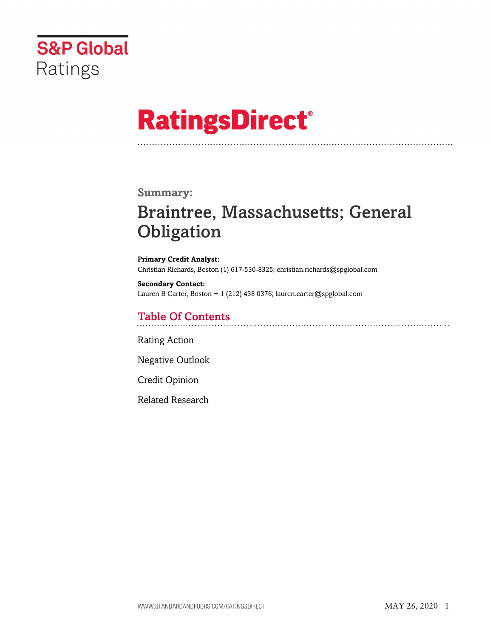

# **RatingsDirect®**

## **Summary:**

# Braintree, Massachusetts; General **Obligation**

**Primary Credit Analyst:** Christian Richards, Boston (1) 617-530-8325; christian.richards@spglobal.com

**Secondary Contact:** Lauren B Carter, Boston + 1 (212) 438 0376; lauren.carter@spglobal.com

# Table Of Contents

[Rating Action](#page-1-0)

[Negative Outlook](#page-2-0)

[Credit Opinion](#page-2-1)

[Related Research](#page-6-0)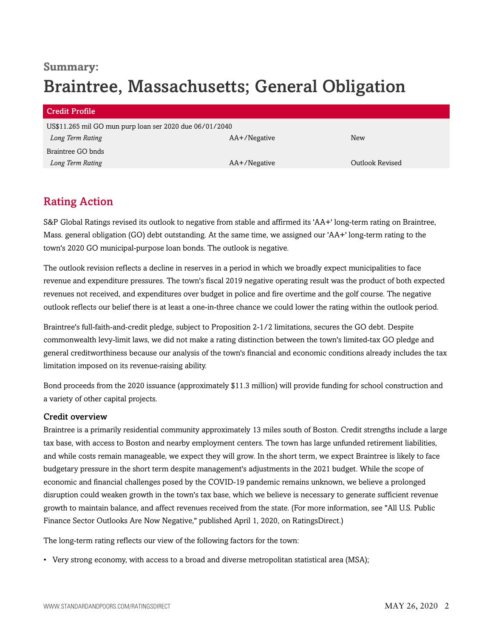# **Summary:** Braintree, Massachusetts; General Obligation

| Credit Profile                                          |              |                 |
|---------------------------------------------------------|--------------|-----------------|
| US\$11.265 mil GO mun purp loan ser 2020 due 06/01/2040 |              |                 |
| Long Term Rating                                        | AA+/Negative | New             |
| Braintree GO bnds                                       |              |                 |
| Long Term Rating                                        | AA+/Negative | Outlook Revised |

# <span id="page-1-0"></span>Rating Action

S&P Global Ratings revised its outlook to negative from stable and affirmed its 'AA+' long-term rating on Braintree, Mass. general obligation (GO) debt outstanding. At the same time, we assigned our 'AA+' long-term rating to the town's 2020 GO municipal-purpose loan bonds. The outlook is negative.

The outlook revision reflects a decline in reserves in a period in which we broadly expect municipalities to face revenue and expenditure pressures. The town's fiscal 2019 negative operating result was the product of both expected revenues not received, and expenditures over budget in police and fire overtime and the golf course. The negative outlook reflects our belief there is at least a one-in-three chance we could lower the rating within the outlook period.

Braintree's full-faith-and-credit pledge, subject to Proposition 2-1/2 limitations, secures the GO debt. Despite commonwealth levy-limit laws, we did not make a rating distinction between the town's limited-tax GO pledge and general creditworthiness because our analysis of the town's financial and economic conditions already includes the tax limitation imposed on its revenue-raising ability.

Bond proceeds from the 2020 issuance (approximately \$11.3 million) will provide funding for school construction and a variety of other capital projects.

#### Credit overview

Braintree is a primarily residential community approximately 13 miles south of Boston. Credit strengths include a large tax base, with access to Boston and nearby employment centers. The town has large unfunded retirement liabilities, and while costs remain manageable, we expect they will grow. In the short term, we expect Braintree is likely to face budgetary pressure in the short term despite management's adjustments in the 2021 budget. While the scope of economic and financial challenges posed by the COVID-19 pandemic remains unknown, we believe a prolonged disruption could weaken growth in the town's tax base, which we believe is necessary to generate sufficient revenue growth to maintain balance, and affect revenues received from the state. (For more information, see "All U.S. Public Finance Sector Outlooks Are Now Negative," published April 1, 2020, on RatingsDirect.)

The long-term rating reflects our view of the following factors for the town:

• Very strong economy, with access to a broad and diverse metropolitan statistical area (MSA);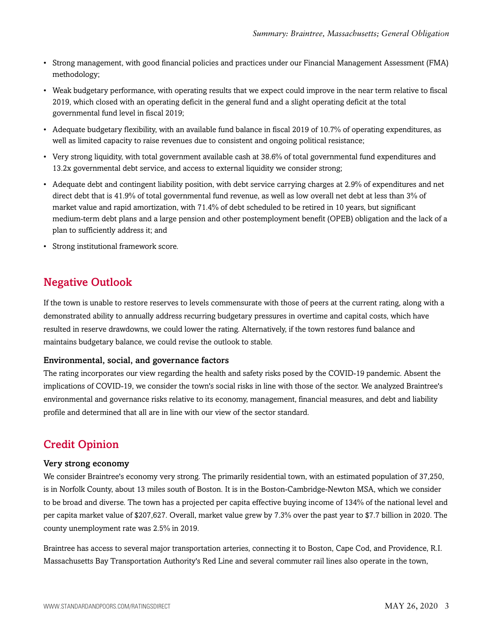- Strong management, with good financial policies and practices under our Financial Management Assessment (FMA) methodology;
- Weak budgetary performance, with operating results that we expect could improve in the near term relative to fiscal 2019, which closed with an operating deficit in the general fund and a slight operating deficit at the total governmental fund level in fiscal 2019;
- Adequate budgetary flexibility, with an available fund balance in fiscal 2019 of 10.7% of operating expenditures, as well as limited capacity to raise revenues due to consistent and ongoing political resistance;
- Very strong liquidity, with total government available cash at 38.6% of total governmental fund expenditures and 13.2x governmental debt service, and access to external liquidity we consider strong;
- Adequate debt and contingent liability position, with debt service carrying charges at 2.9% of expenditures and net direct debt that is 41.9% of total governmental fund revenue, as well as low overall net debt at less than 3% of market value and rapid amortization, with 71.4% of debt scheduled to be retired in 10 years, but significant medium-term debt plans and a large pension and other postemployment benefit (OPEB) obligation and the lack of a plan to sufficiently address it; and
- Strong institutional framework score.

# <span id="page-2-0"></span>Negative Outlook

If the town is unable to restore reserves to levels commensurate with those of peers at the current rating, along with a demonstrated ability to annually address recurring budgetary pressures in overtime and capital costs, which have resulted in reserve drawdowns, we could lower the rating. Alternatively, if the town restores fund balance and maintains budgetary balance, we could revise the outlook to stable.

#### Environmental, social, and governance factors

The rating incorporates our view regarding the health and safety risks posed by the COVID-19 pandemic. Absent the implications of COVID-19, we consider the town's social risks in line with those of the sector. We analyzed Braintree's environmental and governance risks relative to its economy, management, financial measures, and debt and liability profile and determined that all are in line with our view of the sector standard.

## <span id="page-2-1"></span>Credit Opinion

#### Very strong economy

We consider Braintree's economy very strong. The primarily residential town, with an estimated population of 37,250, is in Norfolk County, about 13 miles south of Boston. It is in the Boston-Cambridge-Newton MSA, which we consider to be broad and diverse. The town has a projected per capita effective buying income of 134% of the national level and per capita market value of \$207,627. Overall, market value grew by 7.3% over the past year to \$7.7 billion in 2020. The county unemployment rate was 2.5% in 2019.

Braintree has access to several major transportation arteries, connecting it to Boston, Cape Cod, and Providence, R.I. Massachusetts Bay Transportation Authority's Red Line and several commuter rail lines also operate in the town,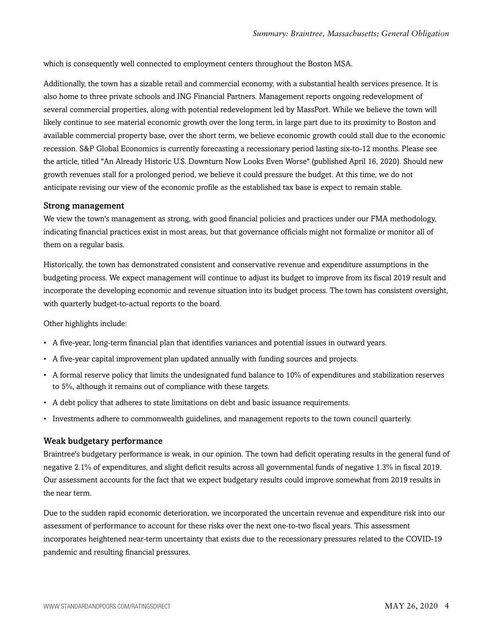which is consequently well connected to employment centers throughout the Boston MSA.

Additionally, the town has a sizable retail and commercial economy, with a substantial health services presence. It is also home to three private schools and ING Financial Partners. Management reports ongoing redevelopment of several commercial properties, along with potential redevelopment led by MassPort. While we believe the town will likely continue to see material economic growth over the long term, in large part due to its proximity to Boston and available commercial property base, over the short term, we believe economic growth could stall due to the economic recession. S&P Global Economics is currently forecasting a recessionary period lasting six-to-12 months. Please see the article, titled "An Already Historic U.S. Downturn Now Looks Even Worse" (published April 16, 2020). Should new growth revenues stall for a prolonged period, we believe it could pressure the budget. At this time, we do not anticipate revising our view of the economic profile as the established tax base is expect to remain stable.

#### Strong management

We view the town's management as strong, with good financial policies and practices under our FMA methodology, indicating financial practices exist in most areas, but that governance officials might not formalize or monitor all of them on a regular basis.

Historically, the town has demonstrated consistent and conservative revenue and expenditure assumptions in the budgeting process. We expect management will continue to adjust its budget to improve from its fiscal 2019 result and incorporate the developing economic and revenue situation into its budget process. The town has consistent oversight, with quarterly budget-to-actual reports to the board.

Other highlights include:

- A five-year, long-term financial plan that identifies variances and potential issues in outward years.
- A five-year capital improvement plan updated annually with funding sources and projects.
- A formal reserve policy that limits the undesignated fund balance to 10% of expenditures and stabilization reserves to 5%, although it remains out of compliance with these targets.
- A debt policy that adheres to state limitations on debt and basic issuance requirements.
- Investments adhere to commonwealth guidelines, and management reports to the town council quarterly.

#### Weak budgetary performance

Braintree's budgetary performance is weak, in our opinion. The town had deficit operating results in the general fund of negative 2.1% of expenditures, and slight deficit results across all governmental funds of negative 1.3% in fiscal 2019. Our assessment accounts for the fact that we expect budgetary results could improve somewhat from 2019 results in the near term.

Due to the sudden rapid economic deterioration, we incorporated the uncertain revenue and expenditure risk into our assessment of performance to account for these risks over the next one-to-two fiscal years. This assessment incorporates heightened near-term uncertainty that exists due to the recessionary pressures related to the COVID-19 pandemic and resulting financial pressures.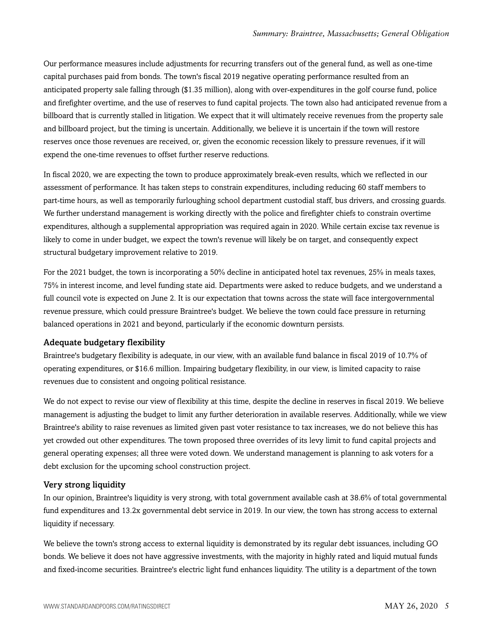Our performance measures include adjustments for recurring transfers out of the general fund, as well as one-time capital purchases paid from bonds. The town's fiscal 2019 negative operating performance resulted from an anticipated property sale falling through (\$1.35 million), along with over-expenditures in the golf course fund, police and firefighter overtime, and the use of reserves to fund capital projects. The town also had anticipated revenue from a billboard that is currently stalled in litigation. We expect that it will ultimately receive revenues from the property sale and billboard project, but the timing is uncertain. Additionally, we believe it is uncertain if the town will restore reserves once those revenues are received, or, given the economic recession likely to pressure revenues, if it will expend the one-time revenues to offset further reserve reductions.

In fiscal 2020, we are expecting the town to produce approximately break-even results, which we reflected in our assessment of performance. It has taken steps to constrain expenditures, including reducing 60 staff members to part-time hours, as well as temporarily furloughing school department custodial staff, bus drivers, and crossing guards. We further understand management is working directly with the police and firefighter chiefs to constrain overtime expenditures, although a supplemental appropriation was required again in 2020. While certain excise tax revenue is likely to come in under budget, we expect the town's revenue will likely be on target, and consequently expect structural budgetary improvement relative to 2019.

For the 2021 budget, the town is incorporating a 50% decline in anticipated hotel tax revenues, 25% in meals taxes, 75% in interest income, and level funding state aid. Departments were asked to reduce budgets, and we understand a full council vote is expected on June 2. It is our expectation that towns across the state will face intergovernmental revenue pressure, which could pressure Braintree's budget. We believe the town could face pressure in returning balanced operations in 2021 and beyond, particularly if the economic downturn persists.

#### Adequate budgetary flexibility

Braintree's budgetary flexibility is adequate, in our view, with an available fund balance in fiscal 2019 of 10.7% of operating expenditures, or \$16.6 million. Impairing budgetary flexibility, in our view, is limited capacity to raise revenues due to consistent and ongoing political resistance.

We do not expect to revise our view of flexibility at this time, despite the decline in reserves in fiscal 2019. We believe management is adjusting the budget to limit any further deterioration in available reserves. Additionally, while we view Braintree's ability to raise revenues as limited given past voter resistance to tax increases, we do not believe this has yet crowded out other expenditures. The town proposed three overrides of its levy limit to fund capital projects and general operating expenses; all three were voted down. We understand management is planning to ask voters for a debt exclusion for the upcoming school construction project.

#### Very strong liquidity

In our opinion, Braintree's liquidity is very strong, with total government available cash at 38.6% of total governmental fund expenditures and 13.2x governmental debt service in 2019. In our view, the town has strong access to external liquidity if necessary.

We believe the town's strong access to external liquidity is demonstrated by its regular debt issuances, including GO bonds. We believe it does not have aggressive investments, with the majority in highly rated and liquid mutual funds and fixed-income securities. Braintree's electric light fund enhances liquidity. The utility is a department of the town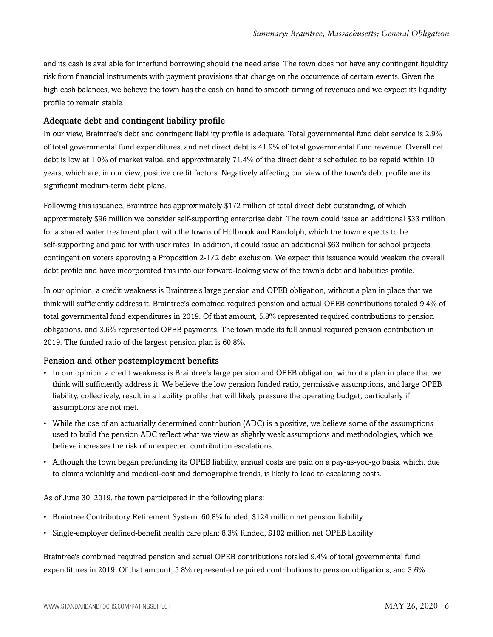and its cash is available for interfund borrowing should the need arise. The town does not have any contingent liquidity risk from financial instruments with payment provisions that change on the occurrence of certain events. Given the high cash balances, we believe the town has the cash on hand to smooth timing of revenues and we expect its liquidity profile to remain stable.

#### Adequate debt and contingent liability profile

In our view, Braintree's debt and contingent liability profile is adequate. Total governmental fund debt service is 2.9% of total governmental fund expenditures, and net direct debt is 41.9% of total governmental fund revenue. Overall net debt is low at 1.0% of market value, and approximately 71.4% of the direct debt is scheduled to be repaid within 10 years, which are, in our view, positive credit factors. Negatively affecting our view of the town's debt profile are its significant medium-term debt plans.

Following this issuance, Braintree has approximately \$172 million of total direct debt outstanding, of which approximately \$96 million we consider self-supporting enterprise debt. The town could issue an additional \$33 million for a shared water treatment plant with the towns of Holbrook and Randolph, which the town expects to be self-supporting and paid for with user rates. In addition, it could issue an additional \$63 million for school projects, contingent on voters approving a Proposition 2-1/2 debt exclusion. We expect this issuance would weaken the overall debt profile and have incorporated this into our forward-looking view of the town's debt and liabilities profile.

In our opinion, a credit weakness is Braintree's large pension and OPEB obligation, without a plan in place that we think will sufficiently address it. Braintree's combined required pension and actual OPEB contributions totaled 9.4% of total governmental fund expenditures in 2019. Of that amount, 5.8% represented required contributions to pension obligations, and 3.6% represented OPEB payments. The town made its full annual required pension contribution in 2019. The funded ratio of the largest pension plan is 60.8%.

#### Pension and other postemployment benefits

- In our opinion, a credit weakness is Braintree's large pension and OPEB obligation, without a plan in place that we think will sufficiently address it. We believe the low pension funded ratio, permissive assumptions, and large OPEB liability, collectively, result in a liability profile that will likely pressure the operating budget, particularly if assumptions are not met.
- While the use of an actuarially determined contribution (ADC) is a positive, we believe some of the assumptions used to build the pension ADC reflect what we view as slightly weak assumptions and methodologies, which we believe increases the risk of unexpected contribution escalations.
- Although the town began prefunding its OPEB liability, annual costs are paid on a pay-as-you-go basis, which, due to claims volatility and medical-cost and demographic trends, is likely to lead to escalating costs.

As of June 30, 2019, the town participated in the following plans:

- Braintree Contributory Retirement System: 60.8% funded, \$124 million net pension liability
- Single-employer defined-benefit health care plan: 8.3% funded, \$102 million net OPEB liability

Braintree's combined required pension and actual OPEB contributions totaled 9.4% of total governmental fund expenditures in 2019. Of that amount, 5.8% represented required contributions to pension obligations, and 3.6%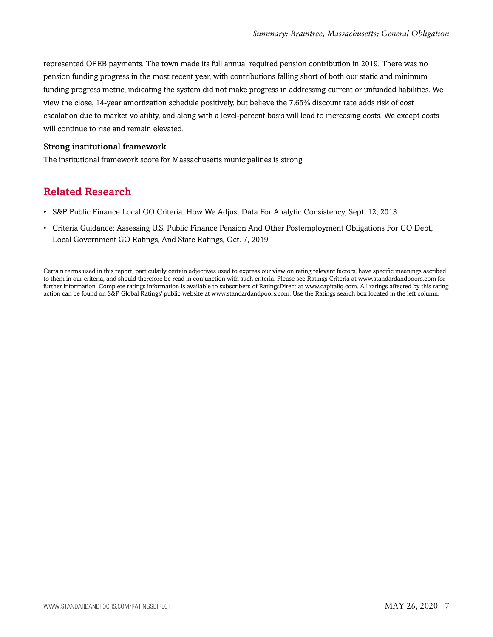represented OPEB payments. The town made its full annual required pension contribution in 2019. There was no pension funding progress in the most recent year, with contributions falling short of both our static and minimum funding progress metric, indicating the system did not make progress in addressing current or unfunded liabilities. We view the close, 14-year amortization schedule positively, but believe the 7.65% discount rate adds risk of cost escalation due to market volatility, and along with a level-percent basis will lead to increasing costs. We except costs will continue to rise and remain elevated.

#### Strong institutional framework

<span id="page-6-0"></span>The institutional framework score for Massachusetts municipalities is strong.

## Related Research

- S&P Public Finance Local GO Criteria: How We Adjust Data For Analytic Consistency, Sept. 12, 2013
- Criteria Guidance: Assessing U.S. Public Finance Pension And Other Postemployment Obligations For GO Debt, Local Government GO Ratings, And State Ratings, Oct. 7, 2019

Certain terms used in this report, particularly certain adjectives used to express our view on rating relevant factors, have specific meanings ascribed to them in our criteria, and should therefore be read in conjunction with such criteria. Please see Ratings Criteria at www.standardandpoors.com for further information. Complete ratings information is available to subscribers of RatingsDirect at www.capitaliq.com. All ratings affected by this rating action can be found on S&P Global Ratings' public website at www.standardandpoors.com. Use the Ratings search box located in the left column.